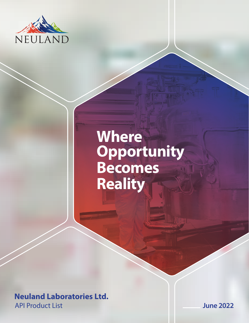

## **Where Opportunity Becomes Reality**

**Neuland Laboratories Ltd.** API Product List **June 2022**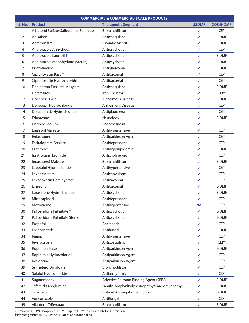| <b>COMMERCIAL &amp; COMMERCIAL-SCALE PRODUCTS</b> |                                       |                                              |              |                  |  |  |
|---------------------------------------------------|---------------------------------------|----------------------------------------------|--------------|------------------|--|--|
| <b>S. No.</b>                                     | <b>Product</b>                        | <b>Therapeutic Segment</b>                   | <b>USDMF</b> | <b>COS/E-DMF</b> |  |  |
| $\mathbf{1}$                                      | Albuterol Sulfate/Salbutamol Sulphate | Bronchodilator                               | $\checkmark$ | <b>CEP</b>       |  |  |
| 2                                                 | Apixaban                              | Anticoagulant                                | $\checkmark$ | E-DMF            |  |  |
| 3                                                 | Apremilast #                          | <b>Psoriatic Arthritis</b>                   | ✓            | E-DMF            |  |  |
| 4                                                 | Aripiprazole Anhydrous                | Antipsychotic                                | $\checkmark$ | <b>CEP</b>       |  |  |
| 5                                                 | Aripiprazole Lauroxil $\ddagger$      | Antipsychotic                                | $\checkmark$ | E-DMF            |  |  |
| 6                                                 | Aripiprazole Monohydrate (Sterile)    | Antipsychotic                                | $\checkmark$ | E-DMF            |  |  |
| 7                                                 | Brinzolamide                          | Antiglaucoma                                 | $\checkmark$ | E-DMF            |  |  |
| 8                                                 | Ciprofloxacin Base $\ddagger$         | Antibacterial                                | $\checkmark$ | <b>CEP</b>       |  |  |
| 9                                                 | Ciprofloxacin Hydrochloride           | Antibacterial                                | $\checkmark$ | <b>CEP</b>       |  |  |
| 10                                                | Dabigatran Etexilate Mesylate         | Anticoagulant                                | ✓            | E-DMF            |  |  |
| 11                                                | Deferasirox                           | Iron Chelator                                | $\checkmark$ | $CEP*$           |  |  |
| 12                                                | Donepezil Base                        | Alzheimer's Disease                          | $\checkmark$ | E-DMF            |  |  |
| 13                                                | Donepezil Hydrochloride               | <b>Alzheimer's Disease</b>                   | $\checkmark$ | <b>CEP</b>       |  |  |
| 14                                                | Dorzolamide Hydrochloride             | Antiglaucoma                                 | ✓            | <b>CEP</b>       |  |  |
| 15                                                | Edaravone                             | Neurology                                    | $\checkmark$ | E-DMF            |  |  |
| 16                                                | Elagolix Sodium                       | Endometriosis                                | $\checkmark$ |                  |  |  |
| 17                                                | <b>Enalapril Maleate</b>              | Antihypertensive                             | $\checkmark$ | <b>CEP</b>       |  |  |
| 18                                                | Entacapone                            | Antiparkinson Agent                          | $\checkmark$ | <b>CEP</b>       |  |  |
| 19                                                | Escitalopram Oxalate                  | Antidepressant                               | $\checkmark$ | <b>CEP</b>       |  |  |
| 20                                                | Ezetimibe                             | Antihyperlipidemic                           | $\checkmark$ | E-DMF            |  |  |
| 21                                                | Ipratropium Bromide                   | Anticholinergic                              | $\checkmark$ | <b>CEP</b>       |  |  |
| 22                                                | <b>Indacaterol Maleate</b>            | Bronchodilator                               | $\checkmark$ | E-DMF            |  |  |
| 23                                                | Labetalol Hydrochloride               | Antihypertensive                             | ✓            | <b>CEP</b>       |  |  |
| 24                                                | Levetiracetam                         | Anticonvulsant                               | $\checkmark$ | <b>CEP</b>       |  |  |
| 25                                                | Levofloxacin Hemihydrate              | Antibacterial                                | ✓            | <b>CEP</b>       |  |  |
| 26                                                | Linezolid                             | Antibacterial                                | $\checkmark$ | E-DMF            |  |  |
| 27                                                | Lurasidone Hydrochloride              | Antipsychotic                                | $\checkmark$ | E-DMF            |  |  |
| 28                                                | Mirtazapine §                         | Antidepressant                               |              | <b>CEP</b>       |  |  |
| 29                                                | Moxonidine                            | Antihypertensive                             | <b>NA</b>    | CEP              |  |  |
| 30                                                | Paliperidone Palmitate $\ddagger$     | Antipsychotic                                | $\checkmark$ | E-DMF            |  |  |
| 31                                                | Paliperidone Palmitate Sterile        | Antipsychotic                                | $\checkmark$ | E-DMF            |  |  |
| 32                                                | Propofol                              | Anesthetic                                   | $\checkmark$ | <b>CEP</b>       |  |  |
| 33                                                | Posaconazole                          | Antifungal                                   | $\checkmark$ | E-DMF            |  |  |
| 34                                                | Ramipril                              | Antihypertensive                             | $\checkmark$ | <b>CEP</b>       |  |  |
| 35                                                | Rivaroxaban                           | Anticoagulant                                | $\checkmark$ | $CEP*$           |  |  |
| 36                                                | Ropinirole Base                       | Antiparkinson Agent                          | $\checkmark$ | E-DMF            |  |  |
| 37                                                | Ropinirole Hydrochloride              | Antiparkinson Agent                          | $\checkmark$ | <b>CEP</b>       |  |  |
| 38                                                | Rotigotine                            | Antiparkinson Agent                          | $\checkmark$ | <b>CEP</b>       |  |  |
| 39                                                | Salmeterol Xinafoate                  | Bronchodilator                               | $\checkmark$ | <b>CEP</b>       |  |  |
| 40                                                | Sotalol Hydrochloride                 | Antiarrhythmic                               | $\checkmark$ | <b>CEP</b>       |  |  |
| 41                                                | Sugammadex                            | Selective Relaxant Binding Agent (SRBA)      | $\checkmark$ | E-DMF            |  |  |
| 42                                                | Tafamidis Meglumine                   | FamilialAmyloidPolyneuropathy/Cardiomyopathy | $\checkmark$ | E-DMF            |  |  |
| 43                                                | Ticagrelor                            | <b>Platelet Aggregation Inhibitors</b>       | $\checkmark$ | E-DMF            |  |  |
| 44                                                | Voriconazole                          | Antifungal                                   | $\checkmark$ | <b>CEP</b>       |  |  |
| 45                                                | Vilanterol Trifenatate                | Bronchodilator                               | $\checkmark$ | E-DMF            |  |  |

CEP\* implies CEP/COS applied. E-DMF implies E-DMF filed or ready for submission Patents granted in US/Europe § Patent application filed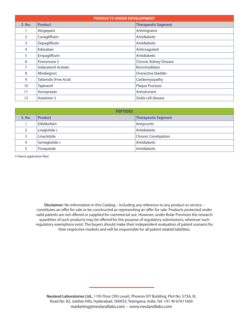| <b>PRODUCTS UNDER DEVELOPMENT</b> |                            |                               |  |  |
|-----------------------------------|----------------------------|-------------------------------|--|--|
| <b>S. No.</b>                     | <b>Product</b>             | <b>Therapeutic Segment</b>    |  |  |
|                                   | Atogepant                  | Antimigraine                  |  |  |
| $\overline{2}$                    | Canagliflozin              | Antidiabetic                  |  |  |
| 3                                 | Dapagliflozin              | Antidiabetic                  |  |  |
| 4                                 | Edoxaban                   | Anticoagulant                 |  |  |
| 5                                 | Empagliflozin              | Antidiabetic                  |  |  |
| 6                                 | Finerenone §               | <b>Chronic Kidney Disease</b> |  |  |
| 7                                 | <b>Indacaterol Acetate</b> | Bronchodilator                |  |  |
| 8                                 | Mirabegron                 | Overactive bladder            |  |  |
| 9                                 | Tafamidis (Free Acid)      | Cardiomyopathy                |  |  |
| 10                                | Tapinarof                  | Plaque Psoriasis              |  |  |
| 11                                | Vonoprazan                 | Antiulcerant                  |  |  |
| 12                                | Voxelotor §                | Sickle cell disease           |  |  |

| <b>PEPTIDES</b> |               |                             |  |  |
|-----------------|---------------|-----------------------------|--|--|
| <b>S. No.</b>   | Product       | <b>Therapeutic Segment</b>  |  |  |
|                 | Difelikefalin | Antipruritic                |  |  |
|                 | Liraglutide § | Antidiabetic                |  |  |
|                 | Linaclotide   | <b>Chronic Constipation</b> |  |  |
| 4               | Semaglutide § | Antidiabetic                |  |  |
|                 | Tirzepatide   | Antidiabetic                |  |  |

§ Patent application filed

**Disclaimer:** No information in this Catalog – including any reference to any product or service – constitutes an offer for sale or be constructed as representing an offer for sale. Products protected under valid patents are not offered or supplied for commercial use. However, under Bolar Provision the research quantities of such products may be offered for the purpose of regulatory submissions, wherever such regulatory exemptions exist. The buyers should make their independent evaluation of patent scenario for their respective markets and will be responsible for all patent related liabilities.

**Neuland Laboratories Ltd.,** 11th Floor (5th Level), Phoenix IVY Building, Plot No. 573A, III, Road No. 82, Jubilee Hills, Hyderabad, 500033, Telangana, India. Tel: +91 40 67611600 marketing@neulandlabs.com | www.neulandlabs.com